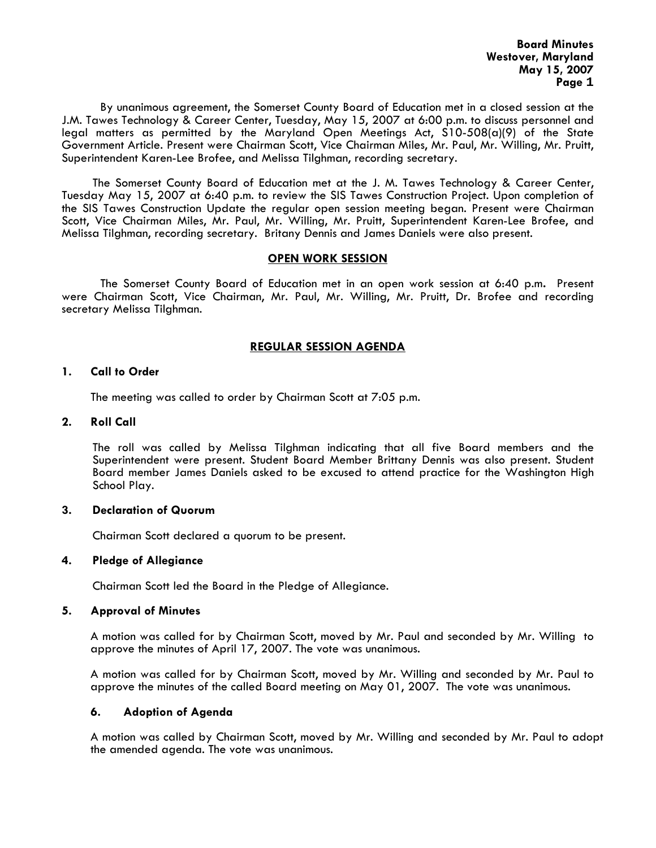By unanimous agreement, the Somerset County Board of Education met in a closed session at the J.M. Tawes Technology & Career Center, Tuesday, May 15, 2007 at 6:00 p.m. to discuss personnel and legal matters as permitted by the Maryland Open Meetings Act, S10-508(a)(9) of the State Government Article. Present were Chairman Scott, Vice Chairman Miles, Mr. Paul, Mr. Willing, Mr. Pruitt, Superintendent Karen-Lee Brofee, and Melissa Tilghman, recording secretary.

The Somerset County Board of Education met at the J. M. Tawes Technology & Career Center, Tuesday May 15, 2007 at 6:40 p.m. to review the SIS Tawes Construction Project. Upon completion of the SIS Tawes Construction Update the regular open session meeting began. Present were Chairman Scott, Vice Chairman Miles, Mr. Paul, Mr. Willing, Mr. Pruitt, Superintendent Karen-Lee Brofee, and Melissa Tilghman, recording secretary. Britany Dennis and James Daniels were also present.

## **OPEN WORK SESSION**

 The Somerset County Board of Education met in an open work session at 6:40 p.m**.** Present were Chairman Scott, Vice Chairman, Mr. Paul, Mr. Willing, Mr. Pruitt, Dr. Brofee and recording secretary Melissa Tilghman.

# **REGULAR SESSION AGENDA**

### **1. Call to Order**

The meeting was called to order by Chairman Scott at 7:05 p.m.

### **2. Roll Call**

The roll was called by Melissa Tilghman indicating that all five Board members and the Superintendent were present. Student Board Member Brittany Dennis was also present. Student Board member James Daniels asked to be excused to attend practice for the Washington High School Play.

## **3. Declaration of Quorum**

Chairman Scott declared a quorum to be present.

#### **4. Pledge of Allegiance**

Chairman Scott led the Board in the Pledge of Allegiance.

#### **5. Approval of Minutes**

 A motion was called for by Chairman Scott, moved by Mr. Paul and seconded by Mr. Willing to approve the minutes of April 17, 2007. The vote was unanimous.

 A motion was called for by Chairman Scott, moved by Mr. Willing and seconded by Mr. Paul to approve the minutes of the called Board meeting on May 01, 2007. The vote was unanimous.

## **6. Adoption of Agenda**

 A motion was called by Chairman Scott, moved by Mr. Willing and seconded by Mr. Paul to adopt the amended agenda. The vote was unanimous.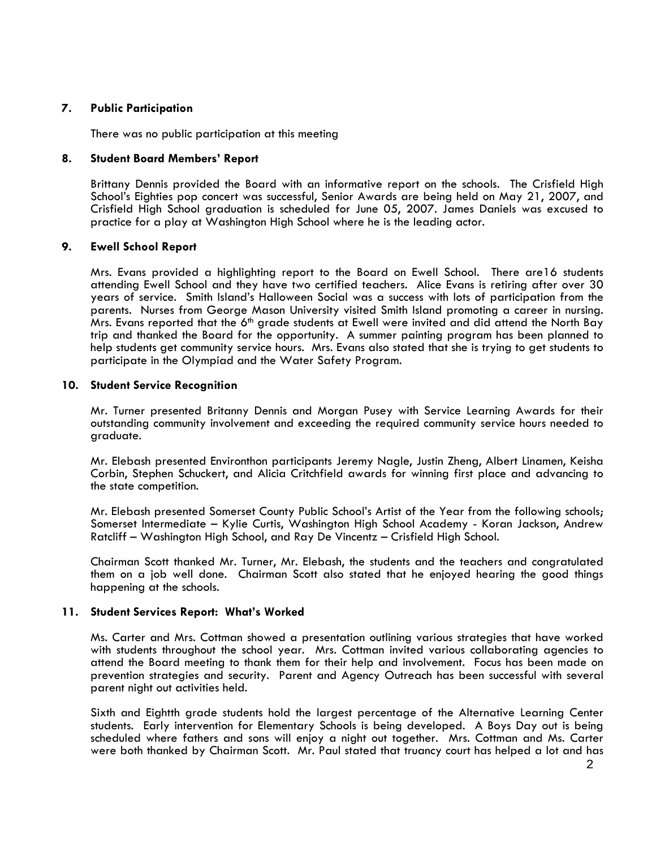## **7. Public Participation**

There was no public participation at this meeting

# **8. Student Board Members' Report**

Brittany Dennis provided the Board with an informative report on the schools. The Crisfield High School's Eighties pop concert was successful, Senior Awards are being held on May 21, 2007, and Crisfield High School graduation is scheduled for June 05, 2007. James Daniels was excused to practice for a play at Washington High School where he is the leading actor.

# **9. Ewell School Report**

Mrs. Evans provided a highlighting report to the Board on Ewell School. There are16 students attending Ewell School and they have two certified teachers. Alice Evans is retiring after over 30 years of service. Smith Island's Halloween Social was a success with lots of participation from the parents. Nurses from George Mason University visited Smith Island promoting a career in nursing. Mrs. Evans reported that the 6<sup>th</sup> grade students at Ewell were invited and did attend the North Bay trip and thanked the Board for the opportunity. A summer painting program has been planned to help students get community service hours. Mrs. Evans also stated that she is trying to get students to participate in the Olympiad and the Water Safety Program.

# **10. Student Service Recognition**

Mr. Turner presented Britanny Dennis and Morgan Pusey with Service Learning Awards for their outstanding community involvement and exceeding the required community service hours needed to graduate.

Mr. Elebash presented Environthon participants Jeremy Nagle, Justin Zheng, Albert Linamen, Keisha Corbin, Stephen Schuckert, and Alicia Critchfield awards for winning first place and advancing to the state competition.

Mr. Elebash presented Somerset County Public School's Artist of the Year from the following schools; Somerset Intermediate – Kylie Curtis, Washington High School Academy - Koran Jackson, Andrew Ratcliff – Washington High School, and Ray De Vincentz – Crisfield High School.

Chairman Scott thanked Mr. Turner, Mr. Elebash, the students and the teachers and congratulated them on a job well done. Chairman Scott also stated that he enjoyed hearing the good things happening at the schools.

## **11. Student Services Report: What's Worked**

Ms. Carter and Mrs. Cottman showed a presentation outlining various strategies that have worked with students throughout the school year. Mrs. Cottman invited various collaborating agencies to attend the Board meeting to thank them for their help and involvement. Focus has been made on prevention strategies and security. Parent and Agency Outreach has been successful with several parent night out activities held.

Sixth and Eightth grade students hold the largest percentage of the Alternative Learning Center students. Early intervention for Elementary Schools is being developed. A Boys Day out is being scheduled where fathers and sons will enjoy a night out together. Mrs. Cottman and Ms. Carter were both thanked by Chairman Scott. Mr. Paul stated that truancy court has helped a lot and has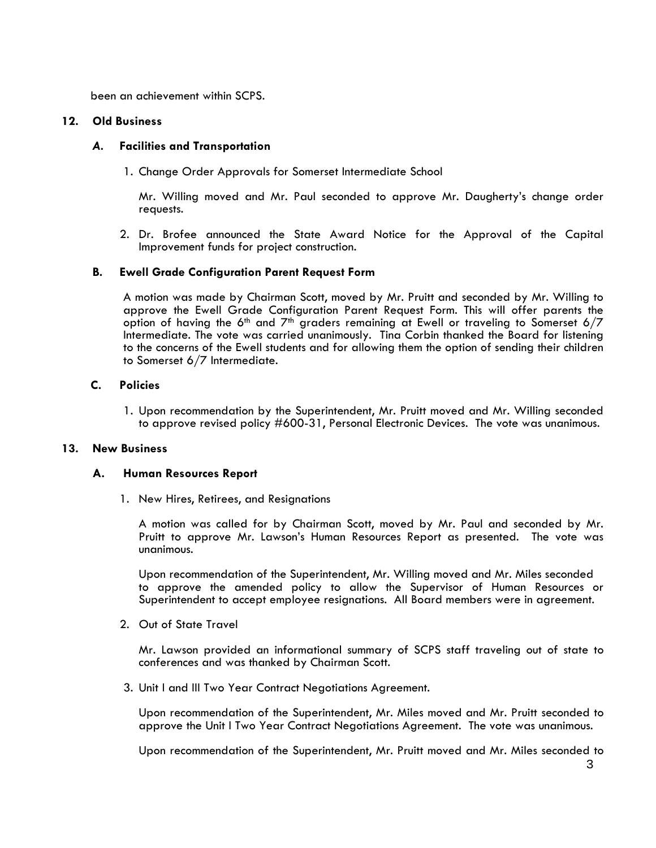been an achievement within SCPS.

## **12. Old Business**

### *A.* **Facilities and Transportation**

1. Change Order Approvals for Somerset Intermediate School

Mr. Willing moved and Mr. Paul seconded to approve Mr. Daugherty's change order requests.

 2. Dr. Brofee announced the State Award Notice for the Approval of the Capital Improvement funds for project construction.

### **B. Ewell Grade Configuration Parent Request Form**

A motion was made by Chairman Scott, moved by Mr. Pruitt and seconded by Mr. Willing to approve the Ewell Grade Configuration Parent Request Form. This will offer parents the option of having the 6<sup>th</sup> and 7<sup>th</sup> graders remaining at Ewell or traveling to Somerset 6/7 Intermediate. The vote was carried unanimously. Tina Corbin thanked the Board for listening to the concerns of the Ewell students and for allowing them the option of sending their children to Somerset 6/7 Intermediate.

### **C. Policies**

 1. Upon recommendation by the Superintendent, Mr. Pruitt moved and Mr. Willing seconded to approve revised policy #600-31, Personal Electronic Devices. The vote was unanimous.

### **13. New Business**

#### **A. Human Resources Report**

1. New Hires, Retirees, and Resignations

A motion was called for by Chairman Scott, moved by Mr. Paul and seconded by Mr. Pruitt to approve Mr. Lawson's Human Resources Report as presented. The vote was unanimous.

 Upon recommendation of the Superintendent, Mr. Willing moved and Mr. Miles seconded to approve the amended policy to allow the Supervisor of Human Resources or Superintendent to accept employee resignations. All Board members were in agreement.

2. Out of State Travel

Mr. Lawson provided an informational summary of SCPS staff traveling out of state to conferences and was thanked by Chairman Scott.

3. Unit I and III Two Year Contract Negotiations Agreement.

Upon recommendation of the Superintendent, Mr. Miles moved and Mr. Pruitt seconded to approve the Unit I Two Year Contract Negotiations Agreement. The vote was unanimous.

Upon recommendation of the Superintendent, Mr. Pruitt moved and Mr. Miles seconded to